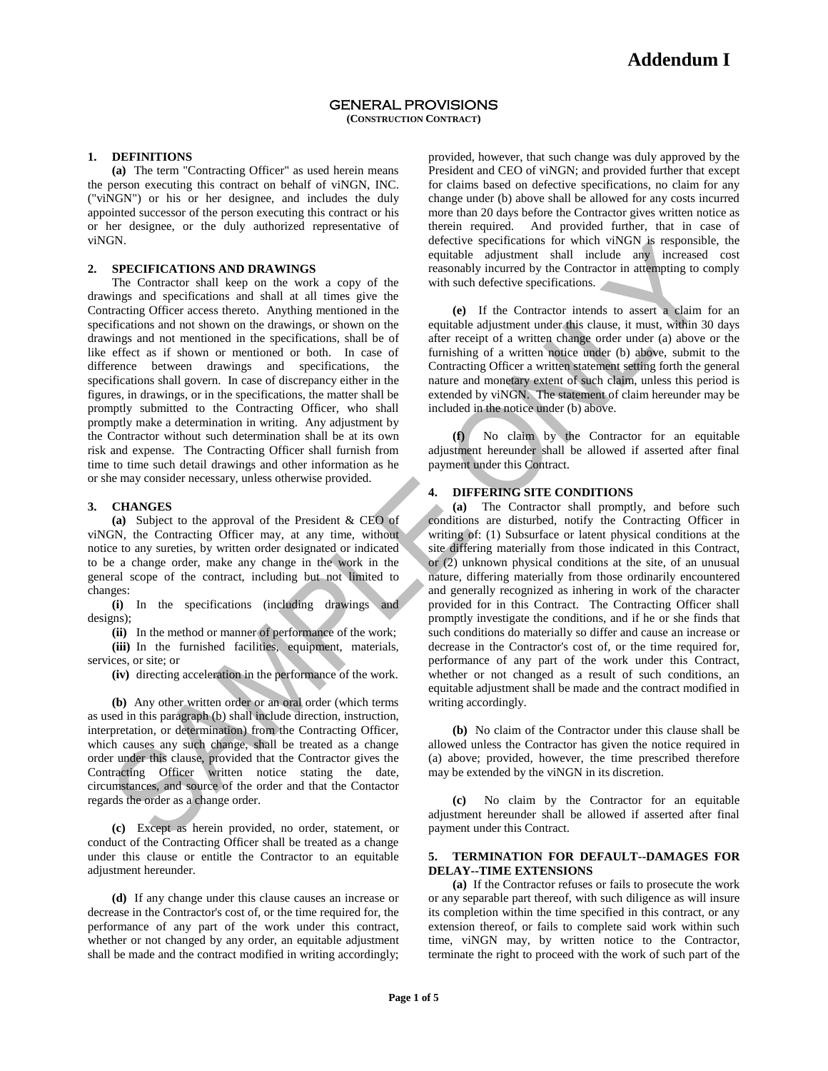## GENERAL PROVISIONS

**(CONSTRUCTION CONTRACT)**

#### **1. DEFINITIONS**

**(a)** The term "Contracting Officer" as used herein means the person executing this contract on behalf of viNGN, INC. ("viNGN") or his or her designee, and includes the duly appointed successor of the person executing this contract or his or her designee, or the duly authorized representative of viNGN.

## **2. SPECIFICATIONS AND DRAWINGS**

The Contractor shall keep on the work a copy of the drawings and specifications and shall at all times give the Contracting Officer access thereto. Anything mentioned in the specifications and not shown on the drawings, or shown on the drawings and not mentioned in the specifications, shall be of like effect as if shown or mentioned or both. In case of difference between drawings and specifications, the specifications shall govern. In case of discrepancy either in the figures, in drawings, or in the specifications, the matter shall be promptly submitted to the Contracting Officer, who shall promptly make a determination in writing. Any adjustment by the Contractor without such determination shall be at its own risk and expense. The Contracting Officer shall furnish from time to time such detail drawings and other information as he or she may consider necessary, unless otherwise provided.

#### **3. CHANGES**

**(a)** Subject to the approval of the President & CEO of viNGN, the Contracting Officer may, at any time, without notice to any sureties, by written order designated or indicated to be a change order, make any change in the work in the general scope of the contract, including but not limited to changes:

**(i)** In the specifications (including drawings and designs);

**(ii)** In the method or manner of performance of the work;

**(iii)** In the furnished facilities, equipment, materials, services, or site; or

**(iv)** directing acceleration in the performance of the work.

**(b)** Any other written order or an oral order (which terms as used in this paragraph (b) shall include direction, instruction, interpretation, or determination) from the Contracting Officer, which causes any such change, shall be treated as a change order under this clause, provided that the Contractor gives the Contracting Officer written notice stating the date, circumstances, and source of the order and that the Contactor regards the order as a change order.

**(c)** Except as herein provided, no order, statement, or conduct of the Contracting Officer shall be treated as a change under this clause or entitle the Contractor to an equitable adjustment hereunder.

**(d)** If any change under this clause causes an increase or decrease in the Contractor's cost of, or the time required for, the performance of any part of the work under this contract, whether or not changed by any order, an equitable adjustment shall be made and the contract modified in writing accordingly;

provided, however, that such change was duly approved by the President and CEO of viNGN; and provided further that except for claims based on defective specifications, no claim for any change under (b) above shall be allowed for any costs incurred more than 20 days before the Contractor gives written notice as therein required. And provided further, that in case of defective specifications for which viNGN is responsible, the equitable adjustment shall include any increased cost reasonably incurred by the Contractor in attempting to comply with such defective specifications.

**(e)** If the Contractor intends to assert a claim for an equitable adjustment under this clause, it must, within 30 days after receipt of a written change order under (a) above or the furnishing of a written notice under (b) above, submit to the Contracting Officer a written statement setting forth the general nature and monetary extent of such claim, unless this period is extended by viNGN. The statement of claim hereunder may be included in the notice under (b) above.

**(f)** No claim by the Contractor for an equitable adjustment hereunder shall be allowed if asserted after final payment under this Contract.

#### **4. DIFFERING SITE CONDITIONS**

**(a)** The Contractor shall promptly, and before such conditions are disturbed, notify the Contracting Officer in writing of: (1) Subsurface or latent physical conditions at the site differing materially from those indicated in this Contract, or (2) unknown physical conditions at the site, of an unusual nature, differing materially from those ordinarily encountered and generally recognized as inhering in work of the character provided for in this Contract. The Contracting Officer shall promptly investigate the conditions, and if he or she finds that such conditions do materially so differ and cause an increase or decrease in the Contractor's cost of, or the time required for, performance of any part of the work under this Contract, whether or not changed as a result of such conditions, an equitable adjustment shall be made and the contract modified in writing accordingly.

**(b)** No claim of the Contractor under this clause shall be allowed unless the Contractor has given the notice required in (a) above; provided, however, the time prescribed therefore may be extended by the viNGN in its discretion.

**(c)** No claim by the Contractor for an equitable adjustment hereunder shall be allowed if asserted after final payment under this Contract.

#### **5. TERMINATION FOR DEFAULT--DAMAGES FOR DELAY--TIME EXTENSIONS**

**(a)** If the Contractor refuses or fails to prosecute the work or any separable part thereof, with such diligence as will insure its completion within the time specified in this contract, or any extension thereof, or fails to complete said work within such time, viNGN may, by written notice to the Contractor, terminate the right to proceed with the work of such part of the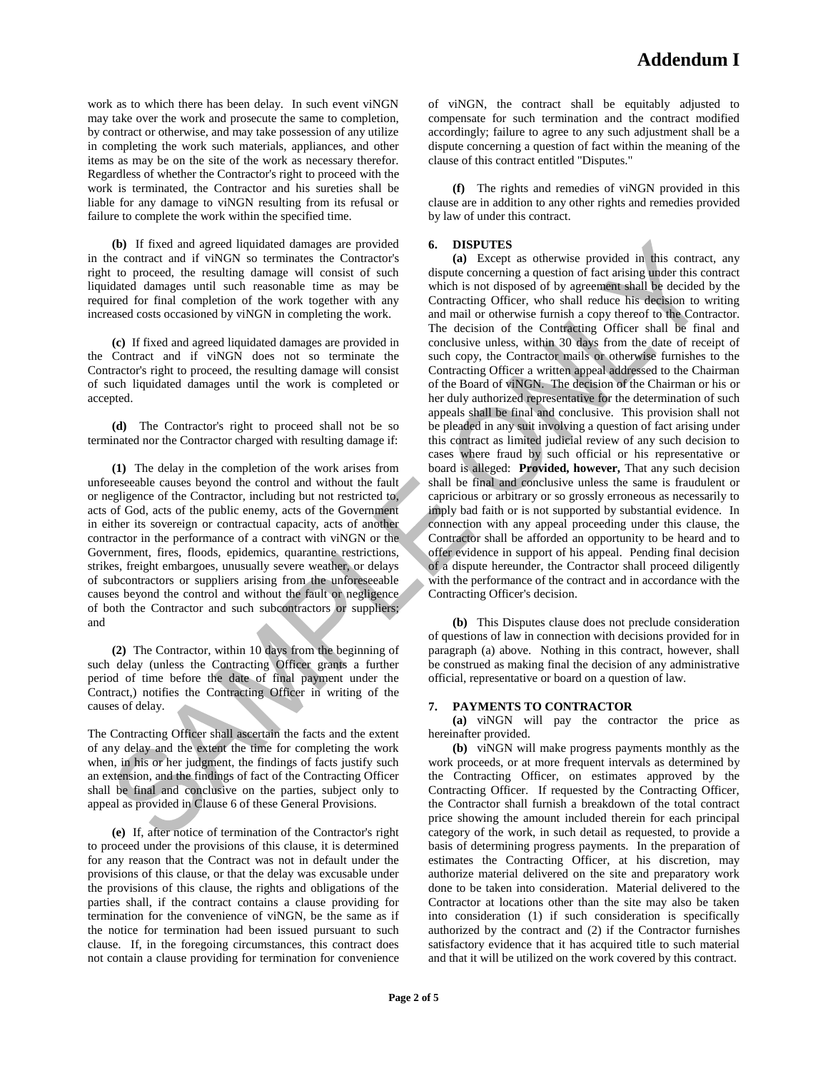work as to which there has been delay. In such event viNGN may take over the work and prosecute the same to completion, by contract or otherwise, and may take possession of any utilize in completing the work such materials, appliances, and other items as may be on the site of the work as necessary therefor. Regardless of whether the Contractor's right to proceed with the work is terminated, the Contractor and his sureties shall be liable for any damage to viNGN resulting from its refusal or failure to complete the work within the specified time.

**(b)** If fixed and agreed liquidated damages are provided in the contract and if viNGN so terminates the Contractor's right to proceed, the resulting damage will consist of such liquidated damages until such reasonable time as may be required for final completion of the work together with any increased costs occasioned by viNGN in completing the work.

**(c)** If fixed and agreed liquidated damages are provided in the Contract and if viNGN does not so terminate the Contractor's right to proceed, the resulting damage will consist of such liquidated damages until the work is completed or accepted.

**(d)** The Contractor's right to proceed shall not be so terminated nor the Contractor charged with resulting damage if:

**(1)** The delay in the completion of the work arises from unforeseeable causes beyond the control and without the fault or negligence of the Contractor, including but not restricted to, acts of God, acts of the public enemy, acts of the Government in either its sovereign or contractual capacity, acts of another contractor in the performance of a contract with viNGN or the Government, fires, floods, epidemics, quarantine restrictions, strikes, freight embargoes, unusually severe weather, or delays of subcontractors or suppliers arising from the unforeseeable causes beyond the control and without the fault or negligence of both the Contractor and such subcontractors or suppliers; and

**(2)** The Contractor, within 10 days from the beginning of such delay (unless the Contracting Officer grants a further period of time before the date of final payment under the Contract,) notifies the Contracting Officer in writing of the causes of delay.

The Contracting Officer shall ascertain the facts and the extent of any delay and the extent the time for completing the work when, in his or her judgment, the findings of facts justify such an extension, and the findings of fact of the Contracting Officer shall be final and conclusive on the parties, subject only to appeal as provided in Clause 6 of these General Provisions.

**(e)** If, after notice of termination of the Contractor's right to proceed under the provisions of this clause, it is determined for any reason that the Contract was not in default under the provisions of this clause, or that the delay was excusable under the provisions of this clause, the rights and obligations of the parties shall, if the contract contains a clause providing for termination for the convenience of viNGN, be the same as if the notice for termination had been issued pursuant to such clause. If, in the foregoing circumstances, this contract does not contain a clause providing for termination for convenience

of viNGN, the contract shall be equitably adjusted to compensate for such termination and the contract modified accordingly; failure to agree to any such adjustment shall be a dispute concerning a question of fact within the meaning of the clause of this contract entitled "Disputes."

**(f)** The rights and remedies of viNGN provided in this clause are in addition to any other rights and remedies provided by law of under this contract.

## **6. DISPUTES**

**(a)** Except as otherwise provided in this contract, any dispute concerning a question of fact arising under this contract which is not disposed of by agreement shall be decided by the Contracting Officer, who shall reduce his decision to writing and mail or otherwise furnish a copy thereof to the Contractor. The decision of the Contracting Officer shall be final and conclusive unless, within 30 days from the date of receipt of such copy, the Contractor mails or otherwise furnishes to the Contracting Officer a written appeal addressed to the Chairman of the Board of viNGN. The decision of the Chairman or his or her duly authorized representative for the determination of such appeals shall be final and conclusive. This provision shall not be pleaded in any suit involving a question of fact arising under this contract as limited judicial review of any such decision to cases where fraud by such official or his representative or board is alleged: **Provided, however,** That any such decision shall be final and conclusive unless the same is fraudulent or capricious or arbitrary or so grossly erroneous as necessarily to imply bad faith or is not supported by substantial evidence. In connection with any appeal proceeding under this clause, the Contractor shall be afforded an opportunity to be heard and to offer evidence in support of his appeal. Pending final decision of a dispute hereunder, the Contractor shall proceed diligently with the performance of the contract and in accordance with the Contracting Officer's decision.

**(b)** This Disputes clause does not preclude consideration of questions of law in connection with decisions provided for in paragraph (a) above. Nothing in this contract, however, shall be construed as making final the decision of any administrative official, representative or board on a question of law.

#### **7. PAYMENTS TO CONTRACTOR**

**(a)** viNGN will pay the contractor the price as hereinafter provided.

**(b)** viNGN will make progress payments monthly as the work proceeds, or at more frequent intervals as determined by the Contracting Officer, on estimates approved by the Contracting Officer. If requested by the Contracting Officer, the Contractor shall furnish a breakdown of the total contract price showing the amount included therein for each principal category of the work, in such detail as requested, to provide a basis of determining progress payments. In the preparation of estimates the Contracting Officer, at his discretion, may authorize material delivered on the site and preparatory work done to be taken into consideration. Material delivered to the Contractor at locations other than the site may also be taken into consideration (1) if such consideration is specifically authorized by the contract and (2) if the Contractor furnishes satisfactory evidence that it has acquired title to such material and that it will be utilized on the work covered by this contract.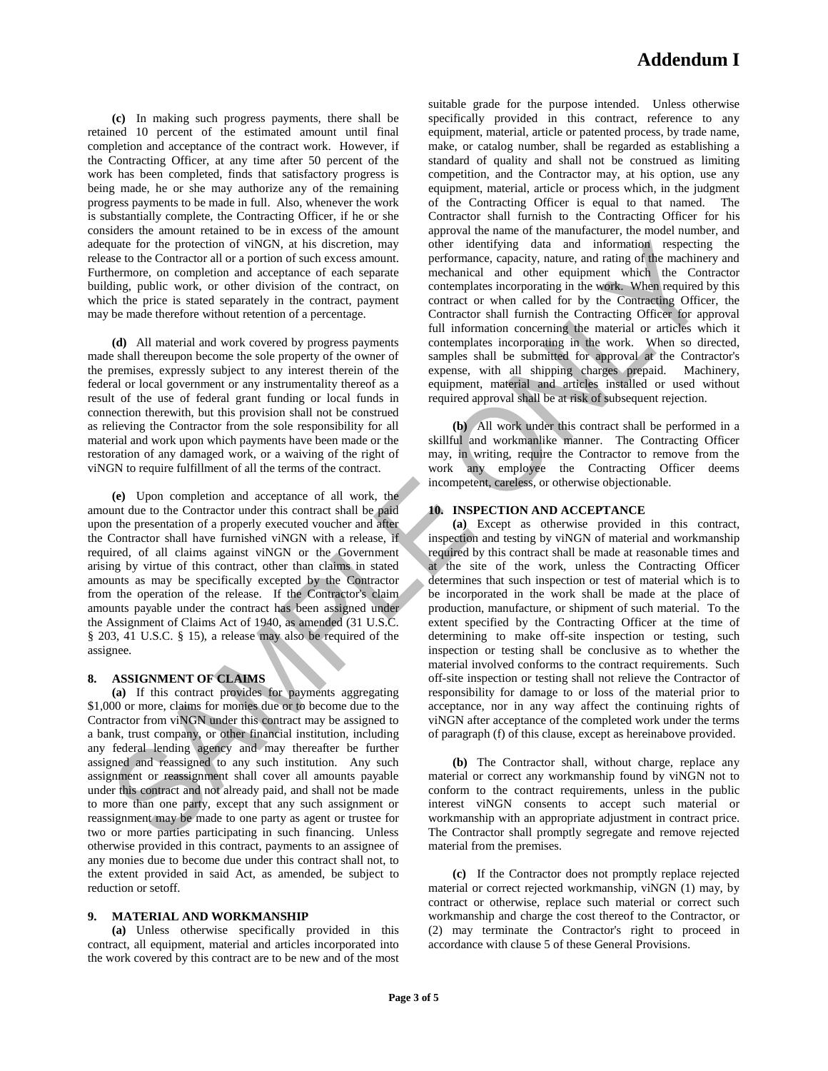**(c)** In making such progress payments, there shall be retained 10 percent of the estimated amount until final completion and acceptance of the contract work. However, if the Contracting Officer, at any time after 50 percent of the work has been completed, finds that satisfactory progress is being made, he or she may authorize any of the remaining progress payments to be made in full. Also, whenever the work is substantially complete, the Contracting Officer, if he or she considers the amount retained to be in excess of the amount adequate for the protection of viNGN, at his discretion, may release to the Contractor all or a portion of such excess amount. Furthermore, on completion and acceptance of each separate building, public work, or other division of the contract, on which the price is stated separately in the contract, payment may be made therefore without retention of a percentage.

**(d)** All material and work covered by progress payments made shall thereupon become the sole property of the owner of the premises, expressly subject to any interest therein of the federal or local government or any instrumentality thereof as a result of the use of federal grant funding or local funds in connection therewith, but this provision shall not be construed as relieving the Contractor from the sole responsibility for all material and work upon which payments have been made or the restoration of any damaged work, or a waiving of the right of viNGN to require fulfillment of all the terms of the contract.

**(e)** Upon completion and acceptance of all work, the amount due to the Contractor under this contract shall be paid upon the presentation of a properly executed voucher and after the Contractor shall have furnished viNGN with a release, if required, of all claims against viNGN or the Government arising by virtue of this contract, other than claims in stated amounts as may be specifically excepted by the Contractor from the operation of the release. If the Contractor's claim amounts payable under the contract has been assigned under the Assignment of Claims Act of 1940, as amended (31 U.S.C. § 203, 41 U.S.C. § 15), a release may also be required of the assignee.

#### **8. ASSIGNMENT OF CLAIMS**

**(a)** If this contract provides for payments aggregating \$1,000 or more, claims for monies due or to become due to the Contractor from viNGN under this contract may be assigned to a bank, trust company, or other financial institution, including any federal lending agency and may thereafter be further assigned and reassigned to any such institution. Any such assignment or reassignment shall cover all amounts payable under this contract and not already paid, and shall not be made to more than one party, except that any such assignment or reassignment may be made to one party as agent or trustee for two or more parties participating in such financing. Unless otherwise provided in this contract, payments to an assignee of any monies due to become due under this contract shall not, to the extent provided in said Act, as amended, be subject to reduction or setoff.

#### **9. MATERIAL AND WORKMANSHIP**

**(a)** Unless otherwise specifically provided in this contract, all equipment, material and articles incorporated into the work covered by this contract are to be new and of the most suitable grade for the purpose intended. Unless otherwise specifically provided in this contract, reference to any equipment, material, article or patented process, by trade name, make, or catalog number, shall be regarded as establishing a standard of quality and shall not be construed as limiting competition, and the Contractor may, at his option, use any equipment, material, article or process which, in the judgment of the Contracting Officer is equal to that named. The Contractor shall furnish to the Contracting Officer for his approval the name of the manufacturer, the model number, and other identifying data and information respecting the performance, capacity, nature, and rating of the machinery and mechanical and other equipment which the Contractor contemplates incorporating in the work. When required by this contract or when called for by the Contracting Officer, the Contractor shall furnish the Contracting Officer for approval full information concerning the material or articles which it contemplates incorporating in the work. When so directed, samples shall be submitted for approval at the Contractor's expense, with all shipping charges prepaid. Machinery, equipment, material and articles installed or used without required approval shall be at risk of subsequent rejection.

**(b)** All work under this contract shall be performed in a skillful and workmanlike manner. The Contracting Officer may, in writing, require the Contractor to remove from the work any employee the Contracting Officer deems incompetent, careless, or otherwise objectionable.

#### **10. INSPECTION AND ACCEPTANCE**

**(a)** Except as otherwise provided in this contract, inspection and testing by viNGN of material and workmanship required by this contract shall be made at reasonable times and at the site of the work, unless the Contracting Officer determines that such inspection or test of material which is to be incorporated in the work shall be made at the place of production, manufacture, or shipment of such material. To the extent specified by the Contracting Officer at the time of determining to make off-site inspection or testing, such inspection or testing shall be conclusive as to whether the material involved conforms to the contract requirements. Such off-site inspection or testing shall not relieve the Contractor of responsibility for damage to or loss of the material prior to acceptance, nor in any way affect the continuing rights of viNGN after acceptance of the completed work under the terms of paragraph (f) of this clause, except as hereinabove provided.

**(b)** The Contractor shall, without charge, replace any material or correct any workmanship found by viNGN not to conform to the contract requirements, unless in the public interest viNGN consents to accept such material or workmanship with an appropriate adjustment in contract price. The Contractor shall promptly segregate and remove rejected material from the premises.

**(c)** If the Contractor does not promptly replace rejected material or correct rejected workmanship, viNGN (1) may, by contract or otherwise, replace such material or correct such workmanship and charge the cost thereof to the Contractor, or (2) may terminate the Contractor's right to proceed in accordance with clause 5 of these General Provisions.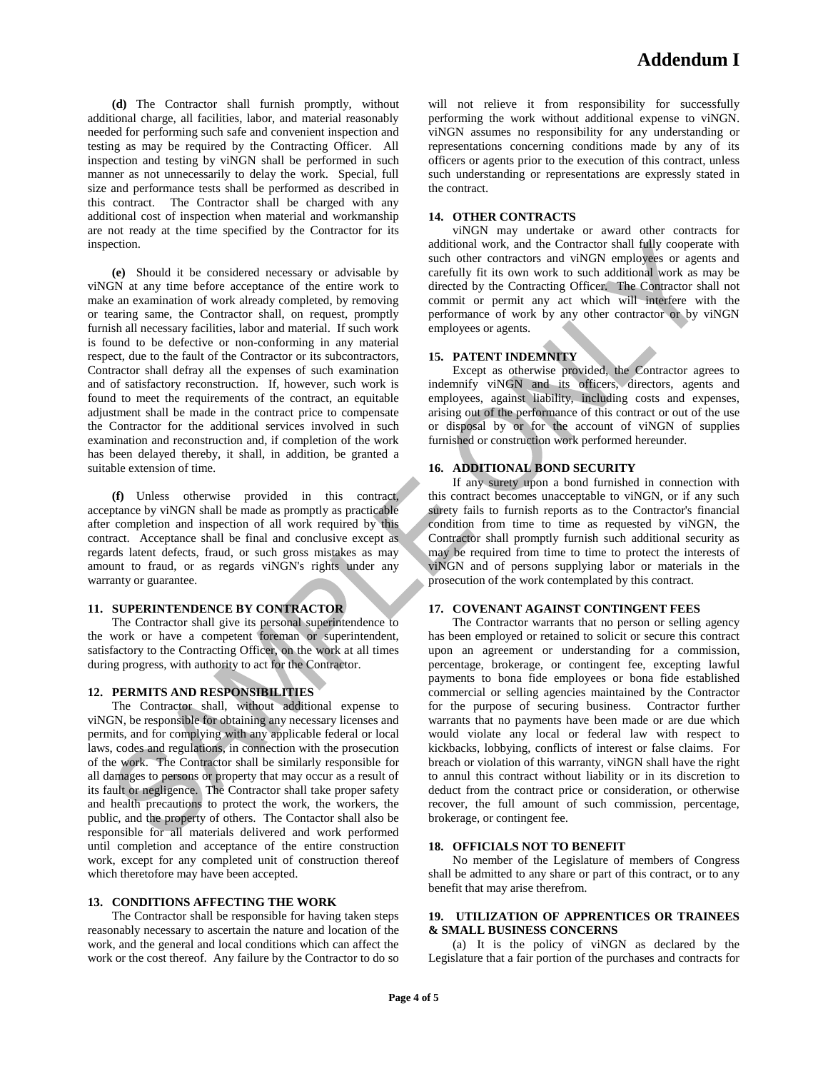**(d)** The Contractor shall furnish promptly, without additional charge, all facilities, labor, and material reasonably needed for performing such safe and convenient inspection and testing as may be required by the Contracting Officer. All inspection and testing by viNGN shall be performed in such manner as not unnecessarily to delay the work. Special, full size and performance tests shall be performed as described in this contract. The Contractor shall be charged with any additional cost of inspection when material and workmanship are not ready at the time specified by the Contractor for its inspection.

**(e)** Should it be considered necessary or advisable by viNGN at any time before acceptance of the entire work to make an examination of work already completed, by removing or tearing same, the Contractor shall, on request, promptly furnish all necessary facilities, labor and material. If such work is found to be defective or non-conforming in any material respect, due to the fault of the Contractor or its subcontractors, Contractor shall defray all the expenses of such examination and of satisfactory reconstruction. If, however, such work is found to meet the requirements of the contract, an equitable adjustment shall be made in the contract price to compensate the Contractor for the additional services involved in such examination and reconstruction and, if completion of the work has been delayed thereby, it shall, in addition, be granted a suitable extension of time.

**(f)** Unless otherwise provided in this contract, acceptance by viNGN shall be made as promptly as practicable after completion and inspection of all work required by this contract. Acceptance shall be final and conclusive except as regards latent defects, fraud, or such gross mistakes as may amount to fraud, or as regards viNGN's rights under any warranty or guarantee.

#### **11. SUPERINTENDENCE BY CONTRACTOR**

The Contractor shall give its personal superintendence to the work or have a competent foreman or superintendent, satisfactory to the Contracting Officer, on the work at all times during progress, with authority to act for the Contractor.

#### **12. PERMITS AND RESPONSIBILITIES**

The Contractor shall, without additional expense to viNGN, be responsible for obtaining any necessary licenses and permits, and for complying with any applicable federal or local laws, codes and regulations, in connection with the prosecution of the work. The Contractor shall be similarly responsible for all damages to persons or property that may occur as a result of its fault or negligence. The Contractor shall take proper safety and health precautions to protect the work, the workers, the public, and the property of others. The Contactor shall also be responsible for all materials delivered and work performed until completion and acceptance of the entire construction work, except for any completed unit of construction thereof which theretofore may have been accepted.

#### **13. CONDITIONS AFFECTING THE WORK**

The Contractor shall be responsible for having taken steps reasonably necessary to ascertain the nature and location of the work, and the general and local conditions which can affect the work or the cost thereof. Any failure by the Contractor to do so will not relieve it from responsibility for successfully performing the work without additional expense to viNGN. viNGN assumes no responsibility for any understanding or representations concerning conditions made by any of its officers or agents prior to the execution of this contract, unless such understanding or representations are expressly stated in the contract.

#### **14. OTHER CONTRACTS**

viNGN may undertake or award other contracts for additional work, and the Contractor shall fully cooperate with such other contractors and viNGN employees or agents and carefully fit its own work to such additional work as may be directed by the Contracting Officer. The Contractor shall not commit or permit any act which will interfere with the performance of work by any other contractor or by viNGN employees or agents.

#### **15. PATENT INDEMNITY**

Except as otherwise provided, the Contractor agrees to indemnify viNGN and its officers, directors, agents and employees, against liability, including costs and expenses, arising out of the performance of this contract or out of the use or disposal by or for the account of viNGN of supplies furnished or construction work performed hereunder.

## **16. ADDITIONAL BOND SECURITY**

If any surety upon a bond furnished in connection with this contract becomes unacceptable to viNGN, or if any such surety fails to furnish reports as to the Contractor's financial condition from time to time as requested by viNGN, the Contractor shall promptly furnish such additional security as may be required from time to time to protect the interests of viNGN and of persons supplying labor or materials in the prosecution of the work contemplated by this contract.

## **17. COVENANT AGAINST CONTINGENT FEES**

The Contractor warrants that no person or selling agency has been employed or retained to solicit or secure this contract upon an agreement or understanding for a commission, percentage, brokerage, or contingent fee, excepting lawful payments to bona fide employees or bona fide established commercial or selling agencies maintained by the Contractor for the purpose of securing business. Contractor further warrants that no payments have been made or are due which would violate any local or federal law with respect to kickbacks, lobbying, conflicts of interest or false claims. For breach or violation of this warranty, viNGN shall have the right to annul this contract without liability or in its discretion to deduct from the contract price or consideration, or otherwise recover, the full amount of such commission, percentage, brokerage, or contingent fee.

## **18. OFFICIALS NOT TO BENEFIT**

No member of the Legislature of members of Congress shall be admitted to any share or part of this contract, or to any benefit that may arise therefrom.

#### **19. UTILIZATION OF APPRENTICES OR TRAINEES & SMALL BUSINESS CONCERNS**

(a) It is the policy of viNGN as declared by the Legislature that a fair portion of the purchases and contracts for